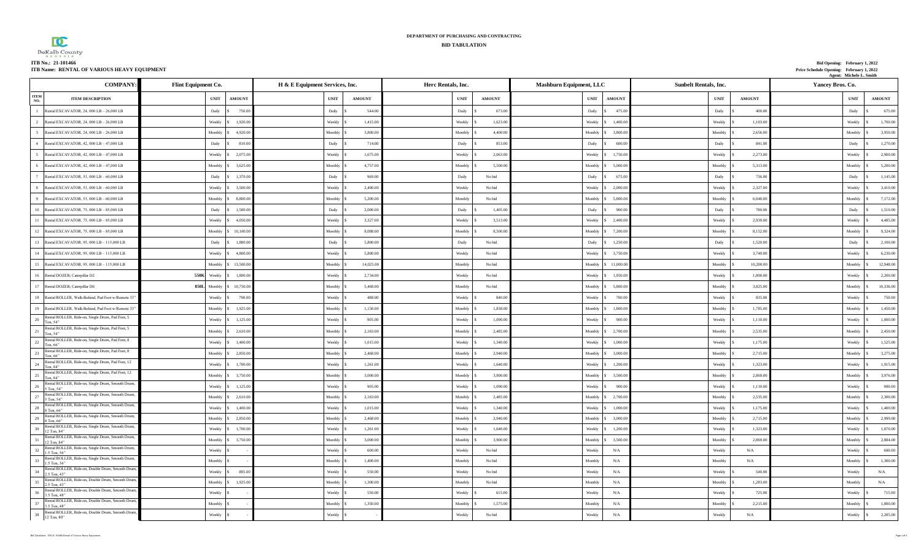| <b>TAX</b>                                  | DEPARTMENT OF PURCHASING AND CONTRACTING |                                          |
|---------------------------------------------|------------------------------------------|------------------------------------------|
| ש                                           | <b>BID TABULATION</b>                    |                                          |
| $DeKalb$ County                             |                                          |                                          |
| ITB No.: 21-101466                          |                                          | Bid Opening: February 1, 2022            |
| ITB Name: RENTAL OF VARIOUS HEAVY EQUIPMENT |                                          | Price Schedule Opening: February 1, 2022 |

| ITB Name:  RENTAL OF VARIOUS HEAVY EQUIPMENT                                                                                |                     |                      |                                                              |                                                              |                                             |                              |               | Price Schedule Opening: February 1, 2022<br>Agent: Michele L. Smith |                                |
|-----------------------------------------------------------------------------------------------------------------------------|---------------------|----------------------|--------------------------------------------------------------|--------------------------------------------------------------|---------------------------------------------|------------------------------|---------------|---------------------------------------------------------------------|--------------------------------|
| <b>COMPANY</b>                                                                                                              | Flint Equipment Co. |                      | H & E Equipment Services, Inc.                               | Herc Rentals, Inc.                                           | Mashburn Equipment, LLC                     | <b>Sunbelt Rentals, Inc.</b> |               | Yancey Bros. Co.                                                    |                                |
| <b>ITEM</b><br><b>ITEM DESCRIPTION</b><br>NO.                                                                               | <b>UNIT</b>         | <b>AMOUNT</b>        | $\ensuremath{\text{UNIT}}$<br>$\boldsymbol{\mathrm{AMOUNT}}$ | $\ensuremath{\text{UNIT}}$<br>$\boldsymbol{\mathrm{AMOUNT}}$ | $\ensuremath{\text{UNIT}}$<br><b>AMOUNT</b> | <b>UNIT</b>                  | <b>AMOUNT</b> | $_{\rm UNIT}$                                                       | $\boldsymbol{\mathrm{AMOUNT}}$ |
| 1 Rental EXCAVATOR, 24, 000 LB - 26,000 LB                                                                                  | Daily               | 750.00<br>1s         | Daily<br>544.00                                              | 673.00<br>Daily                                              | 475.00<br>Daily                             | Daily                        | 400.00        | Daily                                                               | 675.00                         |
| 2 Rental EXCAVATOR, 24, 000 LB - 26,000 LB                                                                                  | Weekly \ \$         | 1,920.00             | Weekly<br>1,415.00                                           | 1,623.00<br>Weekly                                           | Weekly<br>1.400.0                           | Weekly                       | 1,103.0       | Weekly                                                              | 1,700.00                       |
| 3 Rental EXCAVATOR, 24, 000 LB - 26,000 LB                                                                                  | Monthly             | 4,920.00             | 3,800.0<br>Monthly                                           | 4,400.00<br>Monthly                                          | 3,800.00<br>Monthly                         | Monthly                      | 2,656.0       | Monthly                                                             | 3,950.00                       |
| 4 Rental EXCAVATOR, 42, 000 LB - 47,000 LB                                                                                  | Daily               | 810.00               | Daily<br>714.00                                              | Daily<br>853.00                                              | Daily<br>600.00                             | Daily                        | 841.00        | Daily                                                               | 1,270.00                       |
| 5<br>Rental EXCAVATOR, 42, 000 LB - 47,000 LB                                                                               | Weekly              | 2,075.00             | Weekly<br>1,675.00                                           | Weekly<br>2,063.0                                            | Weekly<br>1,750.0                           | Weekly                       | 2,273.0       | Weekly                                                              | 2,900.00                       |
| 6 Rental EXCAVATOR, 42, 000 LB - 47,000 LB                                                                                  | Monthly \$          | 3,625.00             | 4,757.00<br>Monthly                                          | 5,500.0<br>Monthly                                           | 5,000.00<br>Monthly                         | Monthly                      | 5,313.0       | Monthly                                                             | 5,200.00                       |
| 7 Rental EXCAVATOR, 53, 000 LB - 60,000 LB                                                                                  | Daily               | 1,370.00<br>l S      | Daily<br>969.00                                              | Daily<br>No bid                                              | Daily<br>675.0                              | Daily                        | 736.00        | Daily                                                               | 1,145.00                       |
| 8 Rental EXCAVATOR, 53, 000 LB - 60,000 LB                                                                                  | Weekly              | 3,500.00             | Weekly<br>2,400.00                                           | Weekly<br>No bid                                             | Weekly<br>2,000.0                           | Weekly                       | 2,327.0       | Weekly                                                              | 3,410.00                       |
| 9 Rental EXCAVATOR, 53, 000 LB - 60,000 LB                                                                                  | Monthly \$          | 8,800.00             | Monthly<br>5,200.00                                          | Monthly<br>No bid                                            | Monthly<br>5,800.00                         | Monthly                      | 6,048.0       | Monthly                                                             | 7,172.00                       |
| 10 Rental EXCAVATOR, 75, 000 LB - 85,000 LB                                                                                 | Daily               | 1.580.00<br>l S      | 2,000.00<br>Daily                                            | Daily<br>1.405.0                                             | Daily<br>900.0                              | Daily                        | 780.00        | Daily                                                               | 1,510.00                       |
| 11 Rental EXCAVATOR, 75, 000 LB - 85,000 LB                                                                                 | Weekly              | 4,050.00             | Weekly<br>3,327.00                                           | 3,513.0<br>Weekly                                            | 2,400.0<br>Weekly                           | Weekly                       | 2,939.00      | Weekly                                                              | 4,485.00                       |
| 12 Rental EXCAVATOR, 75, 000 LB - 85,000 LB                                                                                 | Monthly             | 10,100.00            | Monthly<br>8,088.00                                          | Monthly<br>8,500.0                                           | Monthly<br>7,200.0                          | Monthly                      | 8,152.0       | Monthly                                                             | 9,324.00                       |
| 13 Rental EXCAVATOR, 95, 000 LB - 115,000 LB                                                                                | Daily               | 1,880.00             | Daily<br>5,800.00                                            | Daily<br>No bid                                              | Daily<br>1,250.0                            | Daily                        | 1,520.0       | Daily                                                               | 2,100.00                       |
| 14 Rental EXCAVATOR, 95, 000 LB - 115,000 LB                                                                                | Weekly              | 4.800.00             | Weekly<br>5.800.0                                            | Weekly<br>No bid                                             | 3,750.00<br>Weekly                          | Weekly                       | 3,749.00      | Weekly                                                              | 6,230.00                       |
| 15 Rental EXCAVATOR, 95, 000 LB - 115,000 LB                                                                                |                     | Monthly \$ 13,500.00 | Monthly<br>14,025.00                                         | Monthly<br>No bid                                            | Monthly<br>11,000.0                         | Monthly                      | 10,200.0      | Monthly                                                             | 12,948.00                      |
| 16 Rental DOZER; Caterpillar D2                                                                                             | 550K<br>Weekly      | 1,800.00<br>l \$     | Weekly<br>2,734.00                                           | Weekly<br>No bid                                             | Weekly<br>1,950.0                           | Weekly                       | 1,800.0       | Weekly                                                              | 2,200.00                       |
| 17 Rental DOZER; Caterpillar D6                                                                                             | 850L<br>Monthly \$  | 10.750.0             | Monthly<br>5.468.0                                           | Monthly<br>No bid                                            | 5.800.0<br>Monthly                          | Monthly                      | 3,825.00      | Monthly                                                             | 10,336.00                      |
| 18 Rental ROLLER, Walk-Behind, Pad Foot w/Remote 33                                                                         | Weekly              | 790.00<br>l s        | Weekly<br>488.00                                             | Weekly<br>840.00                                             | Weekly<br>700.00                            | Weekly                       | 835.00        | Weekly                                                              | 750.00                         |
| 19 Rental ROLLER, Walk-Behind, Pad Foot w/Remote 33                                                                         | Monthly \$          | 1,925.00             | Monthly<br>1,150.00                                          | 1,838.0<br>Monthly                                           | Monthly<br>1,800.0                          | Monthly                      | 1,785.0       | Monthly                                                             | 1,450.00                       |
| Rental ROLLER, Ride-on, Single Drum, Pad Foot, 5<br>20<br>Ton, 54"                                                          | Weekly \$           | 1,125.00             | Weekly<br>905.0                                              | Weekly<br>1.090.0                                            | 900.0<br>Weekly                             | Weekly                       | 1,110.00      | Weekly                                                              | 1,000.00                       |
| Rental ROLLER, Ride-on, Single Drum, Pad Foot, 5<br>21<br>Ton, 54"                                                          | Monthly             | 2,610.00             | Monthly<br>2,163.00                                          | Monthly<br>2,485.00                                          | Monthly<br>2,700.00                         | Monthly                      | 2,535.0       | Monthly                                                             | 2,450.00                       |
| Rental ROLLER, Ride-on, Single Drum, Pad Foot, 8<br>22<br>Ton, 66"                                                          | Weekly \$           | 1,400.00             | Weekly<br>1.015.00                                           | 1,340.00<br>Weekly                                           | Weekly<br>1,000.0                           | Weekly                       | 1,175.0       | Weekly                                                              | 1,525.00                       |
| Rental ROLLER, Ride-on, Single Drum, Pad Foot, 8<br>23<br>Ton. 66"                                                          | Monthly \$          | 2,850.00             | 2,468.00<br>Monthly                                          | 2,940.00<br>Monthly                                          | 3,000.0<br>Monthly                          | Monthly                      | 2,715.0       | Monthly                                                             | 3,275.00                       |
| Rental ROLLER, Ride-on, Single Drum, Pad Foot, 12<br>24<br>Ton, 84"                                                         | Weekly              | 1,700.00             | Weekly<br>1,261.00                                           | Weekly<br>1,640.00                                           | Weekly<br>1,200.0                           | Weekly                       | 1,323.00      | Weekly                                                              | 1,915.00                       |
| Rental ROLLER, Ride-on, Single Drum, Pad Foot, 12<br>25<br>Ton, 84"                                                         | Monthly \$          | 3,750.00             | 3,000.00<br>Monthly                                          | 3,900.0<br>Monthly                                           | Monthly<br>3,500.0                          | Monthly                      | 2,869.0       | Monthly                                                             | 3,976.00                       |
| Rental ROLLER, Ride-on, Single Drum, Smooth Drum,<br>26<br>5 Ton, 54"                                                       | Weekly              | 1,125.00             | Weekly<br>905.0                                              | 1,090.00<br>Weekly                                           | 900.00<br>Weekly                            | Weekly                       | 1,110.00      | Weekly                                                              | 900.00                         |
| Rental ROLLER, Ride-on, Single Drum, Smooth Drum,<br>27<br>5 Ton, 54"                                                       | Monthly \$          | 2,610.00             | Monthly<br>2,163.0                                           | Monthly<br>2,485.00                                          | Monthly<br>2.700.0                          | Monthly                      | 2,535.0       | Monthly                                                             | 2,300.00                       |
| Rental ROLLER, Ride-on, Single Drum, Smooth Drum,<br>28<br>8 Ton. 66'                                                       | Weekly              | 1,400.0              | 1,015.00<br>Weekly                                           | 1,340.0<br>Weekly                                            | Weekly<br>1,000.0                           | Weekly                       | 1,175.0       | Weekly                                                              | 1,400.00                       |
| Rental ROLLER, Ride-on, Single Drum, Smooth Drum,<br>29<br>8 Ton. 66"                                                       | Monthly \$          | 2,850.00             | 2,468.00<br>Monthly                                          | 2,940.00<br>Monthly                                          | 3,000.0<br>Monthly                          | Monthly                      | 2,715.0       | Monthly                                                             | 2,999.00                       |
| Rental ROLLER, Ride-on, Single Drum, Smooth Drum,<br>30<br>12 Ton, 84"                                                      | Weekly              | 1,700.0              | Weekly<br>1,261.00                                           | Weekly<br>1,640.0                                            | Weekly<br>1,200.0                           | Weekly                       | 1,323.0       | Weekly                                                              | 1,870.00                       |
| Rental ROLLER, Ride-on, Single Drum, Smooth Drum,<br>31<br>12 Ton. 84"                                                      | Monthly             | 3,750.00<br>l s      | Monthly<br>3,000.00                                          | Monthly<br>3,900.0                                           | Monthly<br>3,500.0                          | Monthly                      | 2,869.0       | Monthly                                                             | 2,884.00                       |
| Rental ROLLER, Ride-on, Single Drum, Smooth Drum,<br>$32 \t 1.5$ Ton, 36"                                                   | Weekly              |                      | Weekly<br>600.00                                             | Weekly<br>No bid                                             | Weekly<br>N/A                               | Weekly                       | N/A           | Weekly                                                              | 600.00                         |
| Rental ROLLER, Ride-on, Single Drum, Smooth Drum,<br>33<br>1.5 Ton, 36"                                                     | Monthly             |                      | Monthly<br>1,400.00                                          | Monthly<br>No bid                                            | Monthly<br>N/A                              | Monthly                      | N/A           | Monthly                                                             | 1,300.00                       |
| Rental ROLLER, Ride-on, Double Drum, Smooth Drum<br>34<br>2.5 Ton, 43"                                                      | Weekly              | 885.00               | Weekly<br>550.00                                             | Weekly<br>No bid                                             | Weekly<br>N/A                               | Weekly                       | 540.0         | Weekly                                                              | N/A                            |
| Rental ROLLER, Ride-on, Double Drum, Smooth Drum<br>35<br>2.5 Ton, 43"                                                      | Monthly \$          | 1,925.00             | Monthly<br>1,300.00                                          | Monthly<br>No bid                                            | Monthly<br>N/A                              | Monthly                      | 1,283.0       | Monthly                                                             | N/A                            |
| Rental ROLLER, Ride-on, Double Drum, Smooth Drum,<br>36<br>3.5 Ton, 48"<br>Rental ROLLER, Ride-on, Double Drum, Smooth Drun | Weekly              |                      | Weekly<br>550.00                                             | Weekly<br>615.0                                              | Weekly<br>N/A                               | Weekly                       | 725.0         | Weekly                                                              | 715.00                         |
| 37<br>3.5 Ton, 48"                                                                                                          | Monthly \$          |                      | 1,350.00<br>Monthly                                          | 1,575.0<br>Monthly                                           | Monthly<br>$\rm N/A$                        | Monthly                      | 2,215.00      | Monthly                                                             | 1,800.00                       |
| Rental ROLLER, Ride-on, Double Drum, Smooth Drum,<br>38<br>12 Ton, 80"                                                      | Weekly \$           |                      | Weekly \$                                                    | Weekly<br>No hid                                             | Weekly<br>$\rm N/A$                         | Weekly                       | $\rm N/A$     | Weekly                                                              | 2,285.00                       |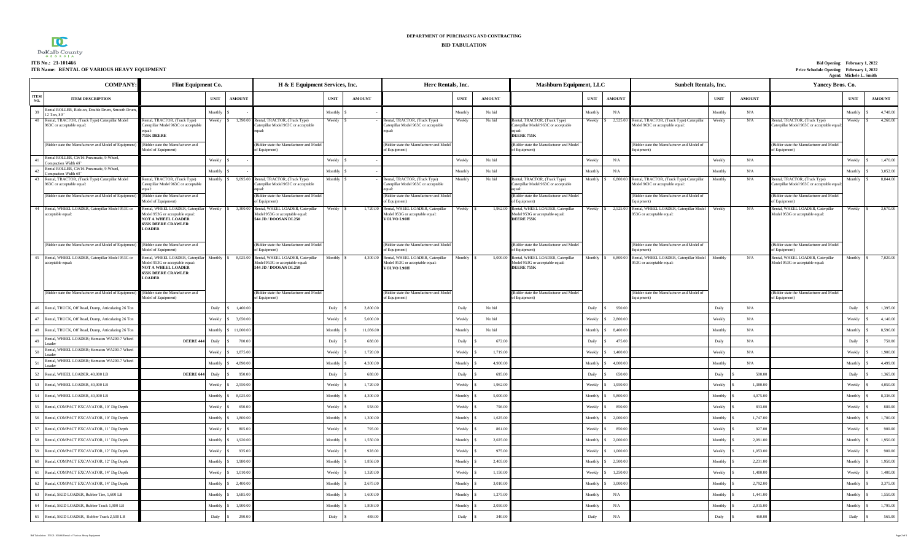

### **ITB Name: RENTAL OF VARIOUS HEAVY EQUIPMENT**

| ITB No.: 21-101466                          | Bid Opening: February 1, 2022            |
|---------------------------------------------|------------------------------------------|
| ITB Name: RENTAL OF VARIOUS HEAVY EQUIPMENT | Price Schedule Opening: February 1, 2022 |
|                                             | ాt: Michele L. Smith                     |

| <b>COMPANY</b>                                                                     | Flint Equipment Co.                                                                                                                                               |             |               | H & E Equipment Services, Inc.                                                                          |             |               | Herc Rentals, Inc.                                                                 |             |               | <b>Mashburn Equipment, LLC</b>                                                             |                |                    | <b>Sunbelt Rentals, Inc.</b>                                                 |             |               | Yancey Bros. Co.                                                            |             |               |
|------------------------------------------------------------------------------------|-------------------------------------------------------------------------------------------------------------------------------------------------------------------|-------------|---------------|---------------------------------------------------------------------------------------------------------|-------------|---------------|------------------------------------------------------------------------------------|-------------|---------------|--------------------------------------------------------------------------------------------|----------------|--------------------|------------------------------------------------------------------------------|-------------|---------------|-----------------------------------------------------------------------------|-------------|---------------|
| <b>ITEM</b><br><b>ITEM DESCRIPTION</b><br>NO.                                      |                                                                                                                                                                   | <b>UNIT</b> | <b>AMOUNT</b> |                                                                                                         | <b>UNIT</b> | <b>AMOUNT</b> |                                                                                    | <b>UNIT</b> | <b>AMOUNT</b> |                                                                                            | <b>UNIT</b>    | <b>AMOUNT</b>      |                                                                              | <b>UNIT</b> | <b>AMOUNT</b> |                                                                             | <b>UNIT</b> | <b>AMOUNT</b> |
| Rental ROLLER, Ride-on, Double Drum, Smooth Drum<br>39<br>12 Ton, 80"              |                                                                                                                                                                   | Monthly     |               |                                                                                                         | Monthly     |               |                                                                                    | Monthl      | No bid        |                                                                                            | Monthly        | N/A                |                                                                              | Monthly     | N/A           |                                                                             | Monthly     | 4,748.00      |
| Rental, TRACTOR, (Track Type) Caterpillar Model<br>40<br>963C or acceptable equal: | tental, TRACTOR, (Track Type)<br>Caterpillar Model 963C or acceptable<br><b>755K DEERE</b>                                                                        | Weekly      | 1,390.00      | ental, TRACTOR, (Track Type)<br>Caterpillar Model 963C or acceptable                                    | Weekly      |               | ental, TRACTOR, (Track Type)<br>'aterpillar Model 963C or acceptable               | Weekly      | No bid        | Rental, TRACTOR, (Track Type)<br>Caterpillar Model 963C or acceptable<br><b>DEERE 755K</b> | Weekly \$      | 2,525.0            | Rental, TRACTOR, (Track Type) Caterpillar<br>Model 963C or acceptable equal: | Weekly      | N/A           | lental, TRACTOR, (Track Type)<br>Caterpillar Model 963C or acceptable equal | Weekly      | 4,260.00      |
| (Bidder state the Manufacturer and Model of Equipment)                             | (Bidder state the Manufacturer and<br>Model of Equipment)                                                                                                         |             |               | (Bidder state the Manufacturer and Model<br>of Equipment)                                               |             |               | (Bidder state the Manufacturer and Model<br>of Equipment)                          |             |               | Bidder state the Manufacturer and Model<br>of Equipment)                                   |                |                    | Bidder state the Manufacturer and Model of<br>dquipment)                     |             |               | (Bidder state the Manufacturer and Model<br>of Equipment)                   |             |               |
| Rental ROLLER, CW16 Pneumatic, 9-Wheel,<br>41<br>ompaction Width 68'               |                                                                                                                                                                   | Weekly      |               |                                                                                                         | Weekly      |               |                                                                                    | Weekly      | No bid        |                                                                                            | Weekly         | N/A                |                                                                              | Weekly      | N/A           |                                                                             | Weekly      | 1,470.00      |
| Rental ROLLER, CW16 Pneumatic, 9-Wheel,<br>42<br>Compaction Width 68'              |                                                                                                                                                                   | Monthly     |               |                                                                                                         | Monthly     |               |                                                                                    | Monthl      | No bid        |                                                                                            | Monthly        | N/A                |                                                                              | Monthly     | N/A           |                                                                             | Monthly     | 3,052.00      |
| 43<br>Rental, TRACTOR, (Track Type) Caterpillar Model<br>963C or acceptable equal: | ental, TRACTOR, (Track Type)<br>Taterpillar Model 963C or acceptable                                                                                              | Monthly     | 9,095.00      | lental, TRACTOR, (Track Type)<br>Caterpillar Model 963C or acceptable                                   | Monthly     |               | lental, TRACTOR, (Track Type)<br>aterpillar Model 963C or acceptable               | Monthl      | No bid        | Rental, TRACTOR, (Track Type)<br>Caterpillar Model 963C or acceptable                      | Monthly        | 6,800.             | Rental, TRACTOR, (Track Type) Caterpillar<br>Model 963C or acceptable equal: | Monthly     | N/A           | Rental, TRACTOR, (Track Type)<br>Caterpillar Model 963C or acceptable equal | Monthly     | 8,844.00      |
| (Bidder state the Manufacturer and Model of Equipment)                             | (Bidder state the Manufacturer and<br>Model of Equipment                                                                                                          |             |               | (Bidder state the Manufacturer and Model<br>f Equipment                                                 |             |               | (Bidder state the Manufacturer and Model<br>of Equipment)                          |             |               | Bidder state the Manufacturer and Model<br>f Equipment                                     |                |                    | Bidder state the Manufacturer and Model of                                   |             |               | (Bidder state the Manufacturer and Model<br>f Equipment                     |             |               |
| 44 Rental, WHEEL LOADER, Caterpillar Model 953G or<br>acceptable equal:            | Rental, WHEEL LOADER, Caterpillar Weekly<br>Model 953G or acceptable equal:<br>NOT A WHEEL LOADER<br><b>655K DEERE CRAWLER</b><br><b>OADER</b>                    |             | 3,300.00      | Rental, WHEEL LOADER, Caterpillar<br>Model 953G or acceptable equal:<br>544 JD / DOOSAN DL250           | Weekly      | 1.720.00      | Rental, WHEEL LOADER, Caterpillar<br>Model 953G or acceptable equal:<br>VOLVO L90H | Weekly      | 1,962.00      | Rental, WHEEL LOADER, Caterpillar<br>Model 953G or acceptable equal:<br><b>DEERE 755K</b>  |                | Weekly \$ 2,525.0  | Rental, WHEEL LOADER, Caterpillar Model<br>953G or acceptable equal:         | Weekly      | N/A           | Rental, WHEEL LOADER, Caterpillar<br>Model 953G or acceptable equal:        | Weekly      | 3,670.00      |
| (Bidder state the Manufacturer and Model of Equipment)                             | Bidder state the Manufacturer and<br>Model of Equipment)                                                                                                          |             |               | (Bidder state the Manufacturer and Model<br>of Equipment)                                               |             |               | (Bidder state the Manufacturer and Model<br>of Equipment)                          |             |               | (Bidder state the Manufacturer and Model<br>of Equipment)                                  |                |                    | (Bidder state the Manufacturer and Model of<br>duipment)                     |             |               | (Bidder state the Manufacturer and Model<br>of Equipment)                   |             |               |
| 45 Rental, WHEEL LOADER, Caterpillar Model 953G or<br>acceptable equal:            | ental, WHEEL LOADER, Caterpillar Monthly \$ 8,025.00<br>Model 953G or acceptable equal:<br><b>NOT A WHEEL LOADER</b><br><b>655K DEERE CRAWLER</b><br><b>OADER</b> |             |               | ental, WHEEL LOADER, Caterpillar<br>Monthly<br>Model 953G or acceptable equal:<br>544 JD / DOOSAN DL250 |             | 4,300.00      | ental, WHEEL LOADER, Caterpillar<br>Model 953G or acceptable equal:<br>VOLVO L90H  | Monthly \$  | 5,000.00      | Rental, WHEEL LOADER, Caterpillar<br>Model 953G or acceptable equal:<br>DEERE 755K         |                | Monthly \$ 6,800.0 | Rental, WHEEL LOADER, Caterpillar Model Monthly<br>953G or acceptable equal: |             | N/A           | ental, WHEEL LOADER, Caterpillar<br>Model 953G or acceptable equal:         | Monthly     | 7,020.00      |
| (Bidder state the Manufacturer and Model of Equipment)                             | (Bidder state the Manufacturer and<br>Model of Equipment)                                                                                                         |             |               | (Bidder state the Manufacturer and Model<br>of Equipment)                                               |             |               | (Bidder state the Manufacturer and Model<br>of Equipment)                          |             |               | Bidder state the Manufacturer and Model<br>of Equipment)                                   |                |                    | (Bidder state the Manufacturer and Model of<br>duipment)                     |             |               | (Bidder state the Manufacturer and Model<br>of Equipment)                   |             |               |
| Rental, TRUCK, Off Road, Dump, Articulating 26 Ton<br>46                           |                                                                                                                                                                   | Daily       | 1,460.0       |                                                                                                         | Daily       | 2,800.0       |                                                                                    | Daily       | No bid        |                                                                                            | Daily          | 950.0              |                                                                              | Daily       | N/A           |                                                                             | Daily       | 1,395.00      |
| 47 Rental, TRUCK, Off Road, Dump, Articulating 26 Ton                              |                                                                                                                                                                   | Weekly      | 3.650.0       |                                                                                                         | Weekly      | 5,000.00      |                                                                                    | Weekly      | No bid        |                                                                                            | Weekly         | 2,800.0            |                                                                              | Weekly      | N/A           |                                                                             | Weekly      | 4,140.00      |
| 48 Rental, TRUCK, Off Road, Dump, Articulating 26 Ton                              |                                                                                                                                                                   | Monthly     | 11,000.0      |                                                                                                         | Monthly     | 11,036.00     |                                                                                    | Monthly     | No bid        |                                                                                            | Monthly        | 8,400.0            |                                                                              | Monthly     | N/A           |                                                                             | Monthly     | 8,596.00      |
| Rental, WHEEL LOADER; Komatsu WA200-7 Wheel<br>49<br>bader                         | <b>DEERE 444</b>                                                                                                                                                  | Daily       | 700.0         |                                                                                                         | Daily       | 688.00        |                                                                                    | Daily       | 672.0         |                                                                                            | Daily          | 475.0              |                                                                              | Daily       | N/A           |                                                                             | Daily       | 750.00        |
| Rental, WHEEL LOADER; Komatsu WA200-7 Wheel<br>50<br>Loader                        |                                                                                                                                                                   | Weekly      | 1,875.0       |                                                                                                         | Weekly      | 1,720.00      |                                                                                    | Weekly      | 1,719.0       |                                                                                            | Weekly         | 1,400              |                                                                              | Weekly      | N/A           |                                                                             | Weekly      | 1,900.00      |
| Rental, WHEEL LOADER; Komatsu WA200-7 Wheel<br>51<br>oader                         |                                                                                                                                                                   | Monthly     | 4,890.0       |                                                                                                         | Monthly     | 4,300.00      |                                                                                    | Monthly     | 4,900.00      |                                                                                            | Monthly        | 4,000.0            |                                                                              | Monthly     | N/A           |                                                                             | Monthly     | 4,499.00      |
| 52 Rental, WHEEL LOADER, 40,000 LB                                                 | DEERE 644                                                                                                                                                         | Daily       | 950.0         |                                                                                                         | Daily       | 688.00        |                                                                                    | Daily       | 695.00        |                                                                                            | Daily          | 650.0              |                                                                              | Daily       | 500.00        |                                                                             | Daily       | 1.365.00      |
| 53<br>Rental, WHEEL LOADER, 40,000 LB                                              |                                                                                                                                                                   | Weekly      | 2,550.0       |                                                                                                         | Weekly      | 1,720.00      |                                                                                    | Weekly      | 1,962.0       |                                                                                            | Weekly         | 1,950.0            |                                                                              | Weekly      | 1,380.00      |                                                                             | Weekly      | 4,050.00      |
| 54 Rental, WHEEL LOADER, 40,000 LB                                                 |                                                                                                                                                                   | Monthly     | 8,025.0       |                                                                                                         | Monthly     | 4,300.00      |                                                                                    | Monthly     | 5,000.00      |                                                                                            | Monthly        | 5,800.0            |                                                                              | Monthly     | 4,075.00      |                                                                             | Monthly     | 8,336.00      |
| 55 Rental, COMPACT EXCAVATOR, 10' Dig Depth                                        |                                                                                                                                                                   | Weekly      | 650.0         |                                                                                                         | Weekly      | 558.00        |                                                                                    | Weekly      | 756.00        |                                                                                            | Weekly         | 850.0              |                                                                              | Weekly      | 833.00        |                                                                             | Weekly      | 880.00        |
| 56<br>Rental, COMPACT EXCAVATOR, 10' Dig Depth                                     |                                                                                                                                                                   | Monthly     | 1,800.0       |                                                                                                         | Monthly     | 1,300.00      |                                                                                    | Monthly     | 1,625.0       |                                                                                            | Monthly        | 2,000.0            |                                                                              | Monthly     | 1,747.00      |                                                                             | Monthly     | 1,700.00      |
| 57 Rental, COMPACT EXCAVATOR, 11' Dig Depth                                        |                                                                                                                                                                   | Weekly      | 805.00        |                                                                                                         | Weekly      | 795.00        |                                                                                    | Weekly      | 861.0         |                                                                                            | Weekly         | 850.0              |                                                                              | Weekly      | 927.00        |                                                                             | Weekly      | 900.00        |
| 58 Rental, COMPACT EXCAVATOR, 11' Dig Depth                                        |                                                                                                                                                                   | Monthly     | 1,920.0       |                                                                                                         | Monthly     | 1,550.00      |                                                                                    | Monthly     | 2,025.00      |                                                                                            | Monthly        | 2,000.0            |                                                                              | Monthly     | 2,091.00      |                                                                             | Monthly     | 1,950.00      |
| 59<br>Rental, COMPACT EXCAVATOR, 12' Dig Depth                                     |                                                                                                                                                                   | Weekly      | 935.0         |                                                                                                         | Weekly      | 928.00        |                                                                                    | Weekly      | 975.0         |                                                                                            | Weekly         | 1.000.             |                                                                              | Weekly      | 1,053.0       |                                                                             | Weekly      | 900.00        |
| 60 Rental, COMPACT EXCAVATOR, 12' Dig Depth                                        |                                                                                                                                                                   | Monthly     | 1.980.0       |                                                                                                         | Monthly     | 1,856.00      |                                                                                    | Monthly     | 2.405.0       |                                                                                            | Monthly        | 2.500 f            |                                                                              | Monthly     | 2,231.00      |                                                                             | Monthly     | 1,950.00      |
| 61 Rental, COMPACT EXCAVATOR, 14' Dig Depth                                        |                                                                                                                                                                   | Weekly      | 1,010.00      |                                                                                                         | Weekly      | 1,320.00      |                                                                                    | Weekly      | 1,150.00      |                                                                                            | Weekly         | 1.250.0            |                                                                              | Weekly      | 1,400.00      |                                                                             | Weekly      | 1,400.00      |
| 62 Rental, COMPACT EXCAVATOR, 14' Dig Depth                                        |                                                                                                                                                                   | Monthly     | 2,400.0       |                                                                                                         | Monthly     | 2,675.00      |                                                                                    | Monthly     | 3,010.00      |                                                                                            | Monthly        | 3,000.0            |                                                                              | Monthly     | 2,792.00      |                                                                             | Monthly     | 3,375.00      |
| 63<br>Rental, SKID LOADER, Rubber Tire, 1,600 LB                                   |                                                                                                                                                                   | Monthly     | 1.685.0       |                                                                                                         | Monthly     | 1,600.00      |                                                                                    | Monthly     | 1,275.0       |                                                                                            | Monthly        | N/A                |                                                                              | Monthly     | 1,441.00      |                                                                             | Monthly     | 1,550.00      |
| 64<br>Rental, SKID LOADER, Rubber Track 1,900 LB                                   |                                                                                                                                                                   | Monthly     | 1,900.0       |                                                                                                         | Monthly     | 1,808.00      |                                                                                    | Monthly     | 2,050.00      |                                                                                            | Monthly        | $\rm N/A$          |                                                                              | Monthly     | 2,015.00      |                                                                             | Monthly     | 1,795.00      |
| 65 Rental, SKID LOADER, Rubber Track 2,500 LB                                      |                                                                                                                                                                   | Daily       | 290.0         |                                                                                                         | Daily       | 488.00        |                                                                                    | Daily       | 340.00        |                                                                                            | $_{\rm Daily}$ | N/A                |                                                                              | Daily       | 460.00        |                                                                             | Daily       | 565.00        |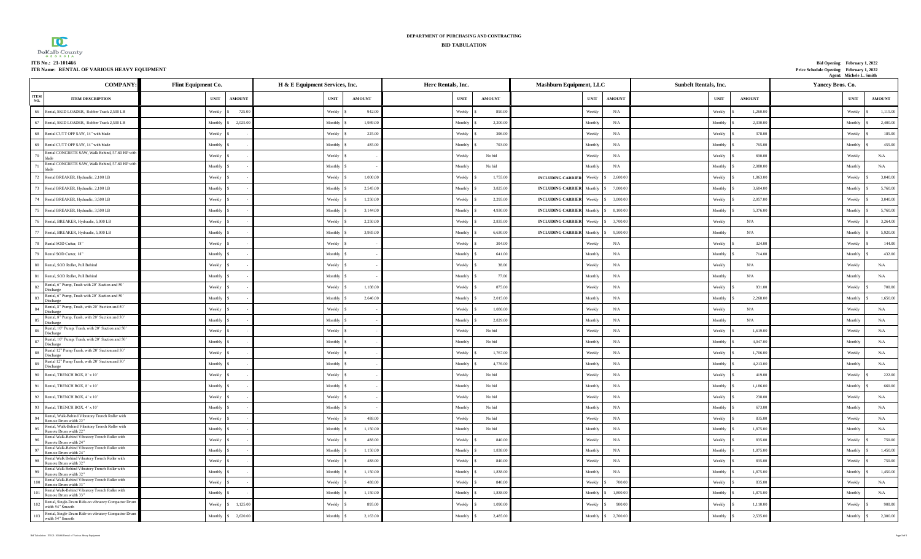|                                             | DEPARTMENT OF PURCHASING AND CONTRACTING |                                          |
|---------------------------------------------|------------------------------------------|------------------------------------------|
| $\bf{D}$                                    | <b>BID TABULATION</b>                    |                                          |
| $DeKalb$ County                             |                                          |                                          |
| ITB No.: 21-101466                          |                                          | Bid Opening: February 1, 2022            |
| ITB Name: RENTAL OF VARIOUS HEAVY EQUIPMENT |                                          | Price Schedule Opening: February 1, 2022 |

| ITB Name: RENTAL OF VARIOUS HEAVY EQUIPMENT                                                                                                 |                                              |                                |               |                              |                                              |                              |               | Price Schedule Opening: February 1, 2022 | Agent: Michele L. Smith |               |
|---------------------------------------------------------------------------------------------------------------------------------------------|----------------------------------------------|--------------------------------|---------------|------------------------------|----------------------------------------------|------------------------------|---------------|------------------------------------------|-------------------------|---------------|
| <b>COMPANY</b>                                                                                                                              | Flint Equipment Co.                          | H & E Equipment Services, Inc. |               | Herc Rentals, Inc.           | Mashburn Equipment, LLC                      | <b>Sunbelt Rentals, Inc.</b> |               | Yancey Bros. Co.                         |                         |               |
| <b>ITEM</b><br><b>ITEM DESCRIPTION</b><br>NO.                                                                                               | <b>UNIT</b><br><b>AMOUNT</b>                 | <b>UNIT</b>                    | <b>AMOUNT</b> | <b>UNIT</b><br><b>AMOUNT</b> | <b>UNIT</b><br><b>AMOUNT</b>                 | <b>UNIT</b>                  | <b>AMOUNT</b> |                                          | <b>UNIT</b>             | <b>AMOUNT</b> |
| 66 Rental, SKID LOADER, Rubber Track 2,500 LB                                                                                               | 725.00<br>Weekly<br>$\overline{\phantom{a}}$ | Weekly                         | 942.00        | 850.00<br>Weekly             | Weekly<br>N/A                                | Weekly                       | 1,260.00      |                                          | Weekly                  | 1,115.00      |
| 67 Rental, SKID LOADER, Rubber Track 2,500 LB                                                                                               | Monthly<br>2,025.00                          | Monthly                        | 1,989.0       | Monthly<br>2,200.0           | Monthly<br>$\rm N/A$                         | Monthly                      | 2,330.0       |                                          | Monthly                 | 2,400.00      |
| 68 Rental CUTT OFF SAW, 14" with blade                                                                                                      | Weekly                                       | Weekly                         | 225.00        | Weekly<br>306.0              | Weekly<br>N/A                                | Weekly                       | 378.0         |                                          | Weekly                  | 185.00        |
| 69 Rental CUTT OFF SAW, 14" with blade                                                                                                      | Monthly                                      | Monthly                        | 485.00        | 703.0<br>Monthly             | Monthly<br>N/A                               | Monthly                      | 765.0         |                                          | Monthly                 | 455.00        |
| Rental CONCRETE SAW, Walk Behind, 57-60 HP with<br>70<br>blade                                                                              | Weekly                                       | Weekly                         |               | Weekly<br>No bid             | Weekly<br>N/A                                | Weekly                       | 690.00        |                                          | Weekly                  | N/A           |
| Rental CONCRETE SAW, Walk Behind, 57-60 HP with<br>71<br><b>blade</b>                                                                       | Monthly                                      | Monthly                        |               | Monthly<br>No bid            | Monthly<br>$\rm N/A$                         | Monthly                      | 2,080.0       |                                          | Monthly                 | N/A           |
| 72 Rental BREAKER, Hydraulic, 2,100 LB                                                                                                      | Weekly                                       | Weekly                         | 1,000.00      | 1,755.0<br>Weekly            | <b>INCLUDING CARRIER</b> Weekly<br>2,600.00  | Weekly                       | 1,863.0       |                                          | Weekly                  | 3,040.00      |
| 73 Rental BREAKER, Hydraulic, 2,100 LB                                                                                                      | Monthly \$                                   | Monthly                        | 2,545.00      | 3,825.0<br>Monthly           | <b>INCLUDING CARRIER</b> Monthly<br>7,000.0  | Monthly                      | 3,604.0       |                                          | Monthly                 | 5,760.00      |
| 74 Rental BREAKER, Hydraulic, 3,500 LB                                                                                                      | Weekly                                       | Weekly                         | 1,250.0       | 2,295.0<br>Weekly            | <b>INCLUDING CARRIER</b> Weekly<br>3,000.0   | Weekly                       | 2,057.0       |                                          | Weekly                  | 3,040,00      |
| 75 Rental BREAKER, Hydraulic, 3,500 LB                                                                                                      | Monthly                                      | Monthly                        | 3,144.0       | Monthly<br>4,930.00          | <b>INCLUDING CARRIER Monthly</b><br>8,100.0  | Monthly                      | 5,376.0       |                                          | Monthly                 | 5,760.00      |
| 76 Rental, BREAKER, Hydraulic, 5,000 LB                                                                                                     | Weekly                                       | Weekly                         | 2,250.0       | Weekly<br>2,835.0            | <b>INCLUDING CARRIER</b> Weekly<br>3,700.0   | Weekly                       | N/A           |                                          | Weekly                  | 3,264.00      |
| 77 Rental, BREAKER, Hydraulic, 5,000 LB                                                                                                     | Monthly \$                                   | $\operatorname{Monthly}$       | 3,985.00      | 6,630.00<br>Monthly          | <b>INCLUDING CARRIER</b> Monthly<br>9,500.00 | Monthly                      | N/A           |                                          | Monthly                 | 5,920.00      |
| 78 Rental SOD Cutter, 18"                                                                                                                   | Weekly                                       | Weekly                         |               | 304.00<br>Weekly             | N/A<br>Weekly                                | Weekly                       | 324.0         |                                          | Weekly                  | 144.00        |
| 79 Rental SOD Cutter, 18"                                                                                                                   | Monthly                                      | Monthly                        |               | Monthly<br>641.0             | Monthly<br>N/A                               | Monthly                      | 714.0         |                                          | Monthly                 | 432.00        |
| 80 Rental, SOD Roller, Pull Behind                                                                                                          | Weekly                                       | Weekly                         |               | Weekly<br>38.00              | Weekly<br>$\rm N/A$                          | Weekly                       | N/A           |                                          | Weekly                  | N/A           |
| 81 Rental, SOD Roller, Pull Behind                                                                                                          | Monthly                                      | Monthly                        |               | Monthly<br>77.0              | Monthly<br>N/A                               | Monthly                      | N/A           |                                          | Monthly                 | N/A           |
| Rental, 6" Pump, Trash with 20' Suction and 50'<br>$82$ Discharge                                                                           | Weekly                                       | Weekly                         | 1,188.0       | 875.0<br>Weekly              | Weekly<br>N/A                                | Weekly                       | 931.0         |                                          | Weekly                  | 700.00        |
| Rental, 6" Pump, Trash with 20' Suction and 50'<br>$83$ Discharge                                                                           | Monthly                                      | Monthly                        | 2,646.00      | Monthly<br>2,015.0           | Monthly<br>N/A                               | Monthly                      | 2,268.0       |                                          | Monthly                 | 1,650.00      |
| Rental, 8" Pump, Trash, with 20' Suction and 50'<br>$84 \quad \begin{array}{ l } \hline \text{Riem} \\ \hline \text{Discharge} \end{array}$ | Weekly                                       | Weekly                         |               | Weekly<br>1,086.0            | N/A<br>Weekly                                | Weekly                       | N/A           |                                          | Weekly                  | N/A           |
| Rental, 8" Pump, Trash, with 20' Suction and 50'<br>$85$ Discharge                                                                          | Monthly \$                                   | Monthly                        |               | Monthly<br>2,829.0           | Monthly<br>N/A                               | Monthly                      | N/A           |                                          | Monthly                 | N/A           |
| Rental, 10" Pump, Trash, with 20' Suction and 50'<br>86<br>Discharge                                                                        | Weekly \$                                    | Weekly                         |               | Weekly<br>No bid             | N/A<br>Weekly                                | Weekly                       | 1,619.0       |                                          | Weekly                  | N/A           |
| Rental, 10" Pump, Trash, with 20' Suction and 50'                                                                                           | Monthly                                      | Monthly                        |               | Monthly<br>No bid            | Monthly<br>N/A                               | Monthly                      | 4.047.0       |                                          | Monthly                 | N/A           |
| Rental 12" Pump Trash, with 20' Suction and 50'<br>$\begin{tabular}{c} 88 \quad & {\rm Poisson} \\ \hline Discharge \end{tabular}$          | Weekly                                       | Weekly                         |               | 1,767.0<br>Weekly            | Weekly<br>$\rm N/A$                          | Weekly                       | 1,706.0       |                                          | Weekly                  | $\rm N/A$     |
| Rental 12" Pump Trash, with 20' Suction and 50'<br>$89$ Discharge                                                                           | Monthly \$                                   | Monthly                        |               | 4,776.0<br>Monthly           | Monthly<br>N/A                               | Monthly                      | 4,213.00      |                                          | Monthly                 | N/A           |
| 90 Rental, TRENCH BOX, 8' x 10'                                                                                                             | Weekly                                       | Weekly                         |               | No bid<br>Weekly             | N/A<br>Weekly                                | Weekly                       | 419.00        |                                          | Weekly                  | 222.00        |
| 91 Rental, TRENCH BOX, 8' x 10'                                                                                                             | Monthly                                      | Monthly                        |               | Monthly<br>No bid            | Monthly<br>$\rm N/A$                         | Monthly                      | 1,186.00      |                                          | Monthly                 | 660.00        |
| 92 Rental, TRENCH BOX, 4' x 10'                                                                                                             | Weekly                                       | Weekly                         |               | Weekly<br>No bid             | Weekly<br>$\rm N/A$                          | Weekly                       | 238.0         |                                          | Weekly                  | $\rm N/A$     |
| 93 Rental, TRENCH BOX, 4' x 10'                                                                                                             | Monthly \$                                   | Monthly                        |               | Monthly<br>No bid            | Monthly<br>$\rm N/A$                         | Monthly                      | 673.00        |                                          | Monthly                 | N/A           |
| Rental, Walk-Behind Vibratory Trench Roller with<br>94 <b>Remote Drum width 22"</b><br>Remote Drum width $22$ "                             | Weekly                                       | Weekly                         | 488.00        | Weekly<br>No bid             | Weekly<br>N/A                                | Weekly                       | 835.00        |                                          | Weekly                  | N/A           |
| Rental, Walk-Behind Vibratory Trench Roller with<br>95 Remote Drum width 22"                                                                | Monthly                                      | Monthly                        | 1,150.00      | Monthly<br>No bid            | ${\rm N/A}$<br>Monthly                       | Monthly                      | 1,875.00      |                                          | Monthly                 | $\rm N/A$     |
| Rental Walk-Behind Vibratory Trench Roller with<br>96 Remote Drum width $24$ "                                                              | Weekly                                       | Weekly                         | 488.00        | Weekly<br>840.0              | N/A<br>Weekly                                | Weekly                       | 835.00        |                                          | Weekly                  | 750.00        |
| Rental Walk-Behind Vibratory Trench Roller with<br>97 Remote Drum width $24$ "                                                              | Monthly                                      | Monthly                        | 1,150.00      | 1,838.00<br>Monthly          | Monthly<br>N/A                               | Monthly                      | 1,875.00      |                                          | Monthly                 | 1,450.00      |
| Rental Walk Behind Vibratory Trench Roller with<br>98 Remote Drum width $32^{\circ}$                                                        | Weekly \$                                    | Weekly                         | 488.00        | 840.00<br>Weekly             | N/A<br>Weekly                                | Weekly                       | 835.00        |                                          | Weekly                  | 750.00        |
| Rental Walk Behind Vibratory Trench Roller with<br>99 Remote Drum width $32^{\circ}$                                                        | Monthly                                      | Monthly                        | 1,150.00      | 1,838.00<br>Monthly          | $\rm N/A$<br>Monthly                         | Monthly                      | 1,875.00      |                                          | Monthly                 | 1,450.00      |
| Rental Walk-Behind Vibratory Trench Roller with<br>100<br>Remote Drum width 33"                                                             | Weekly \$                                    | Weekly                         | 488.00        | 840.00<br>Weekly             | 700.0<br>Weekly                              | Weekly                       | 835.00        |                                          | Weekly                  | N/A           |
| Rental Walk-Behind Vibratory Trench Roller with<br>101 Remote Drum width 33"                                                                | Monthly S                                    | Monthly                        | 1,150.00      | 1,838.00<br>Monthly          | Monthly<br>1,800.0                           | Monthly                      | 1,875.00      |                                          | Monthly                 | N/A           |
| Rental, Single-Drum Ride-on vibratory Compactor Drum<br>102<br>width 54" Smooth                                                             | Weekly \$<br>1,125.00                        | Weekly                         | 895.00        | 1,090.00<br>Weekly           | Weekly<br>900.00                             | Weekly                       | 1,110.00      |                                          | Weekly                  | 900.00        |
| Rental, Single-Drum Ride-on vibratory Compactor Drum<br>width 54" Smooth                                                                    | Monthly \$<br>2,620.00                       | Monthly                        | 2,163.00      | Monthly<br>2,485.00          | 2,700.00<br>Monthly                          | Monthly                      | 2,535.00      |                                          | Monthly                 | 2,300.00      |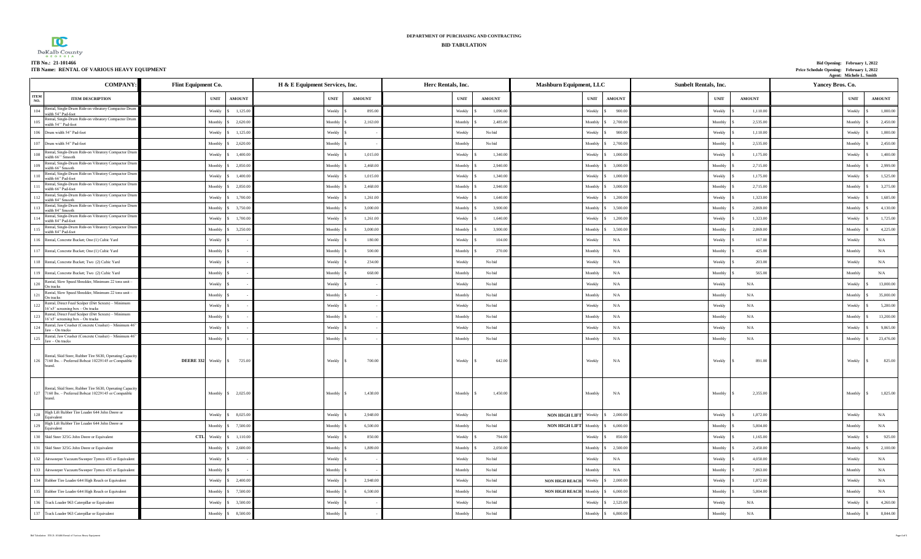| DeKalb County<br><b>GEORGIA</b> |  |
|---------------------------------|--|
| ITB No.: 21-101466              |  |
| ITD M DEMTAL OF VADI            |  |

#### **ITB No.: 21-101466 Bid Opening: February 1, 2022 ITB Name: RENTAL OF VARIOUS HEAVY EQUIPMENT Price Schedule Opening: February 1, 2022** Price Schedule Opening: February 1, 2022<br>Agent: Michele L. Smith

|                    | <b>COMPANY</b>                                                                                                                                                                                                                                                                             | Flint Equipment Co. | H & E Equipment Services, Inc. |                |               | Herc Rentals, Inc. | Mashburn Equipment, LLC |                                 |             | <b>Sunbelt Rentals, Inc.</b> |                                     | Yancey Bros. Co. |             |               |
|--------------------|--------------------------------------------------------------------------------------------------------------------------------------------------------------------------------------------------------------------------------------------------------------------------------------------|---------------------|--------------------------------|----------------|---------------|--------------------|-------------------------|---------------------------------|-------------|------------------------------|-------------------------------------|------------------|-------------|---------------|
| <b>ITEM</b><br>NO. | <b>ITEM DESCRIPTION</b>                                                                                                                                                                                                                                                                    | <b>UNIT</b>         | <b>AMOUNT</b>                  | <b>UNIT</b>    | <b>AMOUNT</b> | <b>UNIT</b>        | <b>AMOUNT</b>           |                                 | <b>UNIT</b> | <b>AMOUNT</b>                | <b>UNIT</b>                         | <b>AMOUNT</b>    | <b>UNIT</b> | <b>AMOUNT</b> |
| 104                | Rental, Single-Drum Ride-on vibratory Compactor Drun<br>width 54" Pad-foot                                                                                                                                                                                                                 | Weekly              | 1,125.00                       | Weekly         | 895.00        | Weekly             | 1,090.0                 |                                 | Weekly      | 900.0                        | Weekly                              | 1,110.0          | Weekly      | 1,000.00      |
| 105                | Rental, Single-Drum Ride-on vibratory Compactor Drum<br>width 54" Pad-foot                                                                                                                                                                                                                 | Monthly             | 2,620.00                       | Monthly        | 2,163.00      | Monthly            | 2,485.0                 |                                 | Monthly     | 2,700.00                     | Monthly                             | 2,535.0          | Monthly     | 2,450.00      |
|                    | 106 Drum width 54" Pad-foot                                                                                                                                                                                                                                                                | Weekly              | 1,125.00                       | Weekly !       |               | Weekly             | No bid                  |                                 | Weekly      | 900.0                        | Weekly                              | 1,110.0          | Weekly      | 1,000.00      |
|                    | 107 Drum width 54" Pad-foot                                                                                                                                                                                                                                                                | Monthly             | 2,620.00                       | Monthly 5      |               | Monthly            | No bid                  |                                 | Monthly     | 2,700.0                      | Monthly                             | 2,535.0          | Monthly     | 2,450.00      |
| 108                | Rental, Single-Drum Ride-on Vibratory Compactor Drun<br>width 66" Smooth                                                                                                                                                                                                                   | Weekly              | 1,400.00                       | Weekly S       | 1,015.00      | Weekly             | 1,340.0                 |                                 | Weekly      | 1,000.00                     | Weekly                              | 1,175.00         | Weekly      | 1,400.00      |
| 109                | Rental, Single-Drum Ride-on Vibratory Compactor Drum<br>width 66" Smooth                                                                                                                                                                                                                   | Monthly             | 2,850.00                       | Monthly \$     | 2,468.00      | Monthly            | 2,940.0                 |                                 | Monthly     | 3,000.00                     | Monthly                             | 2,715.00         | Monthly     | 2,999.00      |
|                    | Rental, Single-Drum Ride-on Vibratory Compactor Drum<br>$110$ width $66^\circ$ Pad-foot                                                                                                                                                                                                    | Weekly              | 1,400.00                       | Weekly         | 1,015.00      | Weekly             | 1,340.0                 |                                 | Weekly      | 1,000.0                      | Weekly                              | 1,175.0          | Weekly      | 1,525.00      |
|                    | Rental, Single-Drum Ride-on Vibratory Compactor Drun<br>111 Neman, Suightlefoot                                                                                                                                                                                                            | Monthly             | 2,850.00                       | Monthly 5      | 2,468.00      | Monthly            | 2,940.0                 |                                 | Monthly     | 3,000.00                     | Monthly                             | 2,715.0          | Monthly     | 3,275.00      |
| 112                | Rental, Single-Drum Ride-on Vibratory Compactor Drun<br>width 84" Smooth                                                                                                                                                                                                                   | Weekly              | 1,700.00                       | Weekly !       | 1,261.00      | Weekly             | 1,640.0                 |                                 | Weekly      | 1,200.0                      | Weekly                              | 1,323.0          | Weekly      | 1,685.00      |
| 113                | Rental, Single-Drum Ride-on Vibratory Compactor Drum<br>width 84" Smooth                                                                                                                                                                                                                   | Monthly             | 3,750.00                       | <b>Monthly</b> | 3,000.00      | Monthly            | 3,900.0                 |                                 | Monthly     | 3,500.0                      | Monthly                             | 2,869.0          | Monthly     | 4,130.00      |
| 114                | Rental, Single-Drum Ride-on Vibratory Compactor Drun<br>width 84" Pad-foot                                                                                                                                                                                                                 | Weekly              | 1,700.00                       | Weekly S       | 1,261.00      | Weekly             | 1,640.0                 |                                 | Weekly      | 1,200.0                      | Weekly                              | 1,323.00         | Weekly      | 1,725.00      |
| 115                | Rental, Single-Drum Ride-on Vibratory Compactor Drun<br>width 84" Pad-foot                                                                                                                                                                                                                 | Monthly             | 3,250.00                       | Monthly \$     | 3,000.00      | Monthly            | 3,900.0                 |                                 | Monthly     | 3,500.0                      | Monthly                             | 2,869.0          | Monthly     | 4,225.00      |
|                    | 116 Rental, Concrete Bucket; One (1) Cubic Yard                                                                                                                                                                                                                                            | Weekly              |                                | Weekly         | 180.00        | Weekly             | 104.0                   |                                 | Weekly      | N/A                          | Weekly                              | 167.00           | Weekly      | N/A           |
|                    | 117 Rental, Concrete Bucket; One (1) Cubic Yard                                                                                                                                                                                                                                            | Monthly             |                                | Monthly 5      | 500.00        | Monthly            | 270.00                  |                                 | Monthly     | N/A                          | Monthly                             | 425.00           | Monthly     | N/A           |
|                    | 118 Rental, Concrete Bucket; Two (2) Cubic Yard                                                                                                                                                                                                                                            | Weekly              |                                | Weekly \$      | 234.00        | Weekly             | No bid                  |                                 | Weekly      | N/A                          | Weekly                              | 203.00           | Weekly      | N/A           |
|                    | 119 Rental, Concrete Bucket; Two (2) Cubic Yard                                                                                                                                                                                                                                            | Monthly             |                                | Monthly 5      | 668.00        | Monthly            | No bid                  |                                 | Monthly     | N/A                          | Monthly                             | 565.0            | Monthly     | N/A           |
|                    | Rental, Slow Speed Shredder, Minimum 22 tons unit-<br>$120$ $\overline{\phantom{0}}$ On tracks                                                                                                                                                                                             | Weekly              |                                | Weekly :       |               | Weekly             | No bid                  |                                 | Weekly      | N/A                          | Weekly                              | N/A              | Weekly      | 13,000.00     |
|                    | Rental, Slow Speed Shredder, Minimum 22 tons unit-<br>$121$ On tracks                                                                                                                                                                                                                      | Monthly             |                                | Monthly 5      |               | Monthly            | No bid                  |                                 | Monthly     | N/A                          | Monthly                             | N/A              | Monthly     | 35,000.00     |
|                    | Rental, Direct Feed Scalper (Dirt Screen) - Minimum<br>122   Keniai, Duxe 1 vee - - - - 1<br>16'x5' screening box - On tracks                                                                                                                                                              | Weekly              |                                | Weekly \$      |               | Weekly             | No bid                  |                                 | Weekly      | N/A                          | Weekly                              | N/A              | Weekly      | 5,280.00      |
|                    | Rental, Direct Feed Scalper (Dirt Screen) - Minimum<br>123 Remai, $\mu$ B and $\lambda$ is the set of the set of the set of the set of the set of set of set of set of set of set of set of set of set of set of set of set of set of set of set of set of set of set of set of set of set | Monthly             |                                | Monthly \$     |               | Monthly            | No bid                  |                                 | Monthly     | N/A                          | Monthly                             | N/A              | Monthly     | 13,200.00     |
|                    | Rental, Jaw Crusher (Concrete Crusher) - Minimum 46'<br>$124$ $\frac{1}{3}$ aw - On tracks                                                                                                                                                                                                 | Weekly              |                                | Weekly !       |               | Weekly             | No bid                  |                                 | Weekly      | N/A                          | Weekly                              | N/A              | Weekly      | 9,865.00      |
|                    | Rental, Jaw Crusher (Concrete Crusher) - Minimum 46'<br>$125$ Jaw – On tracks                                                                                                                                                                                                              | Monthly             |                                | Monthly        |               | Monthly            | No bid                  |                                 | Monthly     | N/A                          | Monthly                             | N/A              | Monthly     | 23,476.00     |
|                    | Rental, Skid Steer, Rubber Tire S630, Operating Capacity<br>126 7160 lbs. - Preferred Bobcat 10229145 or Compatible                                                                                                                                                                        | DEERE 332 Weekly    | 725.00<br><sup>S</sup>         | Weekly \$      | 700.00        | Weekly             | 642.0                   |                                 | Weekly      | N/A                          | Weekly                              | 891.00           | Weekly      | 825.00        |
|                    | Rental, Skid Steer, Rubber Tire S630, Operating Capacity<br>127 7160 lbs. - Preferred Bobcat 10229145 or Compatible<br>rand                                                                                                                                                                | Monthly             | 2,025.00                       | Monthly \$     | 1,438.00      | Monthly \$         | 1,450.0                 |                                 | Monthly     | N/A                          | Monthly<br>$\overline{\phantom{a}}$ | 2,355.00         | Monthly     | 1,825.00      |
| 128                | High Lift Rubber Tire Loader 644 John Deere or<br>Equivalent                                                                                                                                                                                                                               | Weekly              | 8.025.00                       | Weekly \$      | 2,948.00      | Weekly             | No bid                  | NON HIGH LIFT Weekly \$ 2,000.0 |             |                              | Weekly                              | 1,872.0          | Weekly      | N/A           |
| 129                | High Lift Rubber Tire Loader 644 John Deere or<br>Equivalent                                                                                                                                                                                                                               | Monthly             | 7,500.00                       | Monthly 5      | 6,500.00      | Monthly            | No bid                  | <b>NON HIGH LIFT</b> Monthly    |             | 6,000.0                      | Monthly                             | 5,804.0          | Monthly     | N/A           |
|                    | 130 Skid Steer 325G John Deere or Equivalent                                                                                                                                                                                                                                               | CTL Weekly          | 1,110.00                       | Weekly         | 850.00        | Weekly             | 794.0                   |                                 | Weekly      | 850.00                       | Weekly                              | 1,165.0          | Weekly      | 925.00        |
|                    | 131 Skid Steer 325G John Deere or Equivalent                                                                                                                                                                                                                                               | Monthly             | 2,600.00                       | Monthly 5      | 1,889.00      | Monthly            | 2,050.0                 |                                 | Monthly     | 2,500.00                     | Monthly                             | 2,450.00         | Monthly     | 2,100.00      |
|                    | 132 Airsweeper Vacuum/Sweeper Tymco 435 or Equivalent                                                                                                                                                                                                                                      | Weekly              |                                | Weekly S       |               | Weekly             | No bid                  |                                 | Weekly      | N/A                          | Weekly                              | 4,050.00         | Weekly      | N/A           |
|                    | 133 Airsweeper Vacuum/Sweeper Tymco 435 or Equivalent                                                                                                                                                                                                                                      | Monthly             |                                | Monthly \$     |               | Monthly            | No bid                  |                                 | Monthly     | N/A                          | Monthly                             | 7,863.0          | Monthly     | N/A           |
|                    | 134 Rubber Tire Loader 644 High Reach or Equivalent                                                                                                                                                                                                                                        | Weekly              | 2,400.00                       | Weekly !       | 2,948.00      | Weekly             | No bid                  | NON HIGH REACH Weekly           |             | 2,000.0                      | Weekly                              | 1,872.0          | Weekly      | N/A           |
|                    | 135 Rubber Tire Loader 644 High Reach or Equivalent                                                                                                                                                                                                                                        | Monthly             | 7,500.00                       | Monthly        | 6,500.00      | Monthly            | No bid                  | <b>NON HIGH REACH</b> Monthly   |             | 6,000.00                     | Monthly                             | 5,804.0          | Monthly     | N/A           |
|                    | 136 Track Loader 963 Caterpillar or Equivalent                                                                                                                                                                                                                                             | Weekly              | 3.500.00                       | Weekly !       |               | Weekly             | No bid                  |                                 | Weekly      | 2,525.00                     | Weekly                              | N/A              | Weekly      | 4,260.00      |
|                    | 137 Track Loader 963 Caterpillar or Equivalent                                                                                                                                                                                                                                             | Monthly             | 8,500.00                       | Monthly \$     |               | Monthly            | No bid                  |                                 | Monthly     | 6,800.0                      | Monthly                             | N/A              | Monthly     | 8,844.00      |